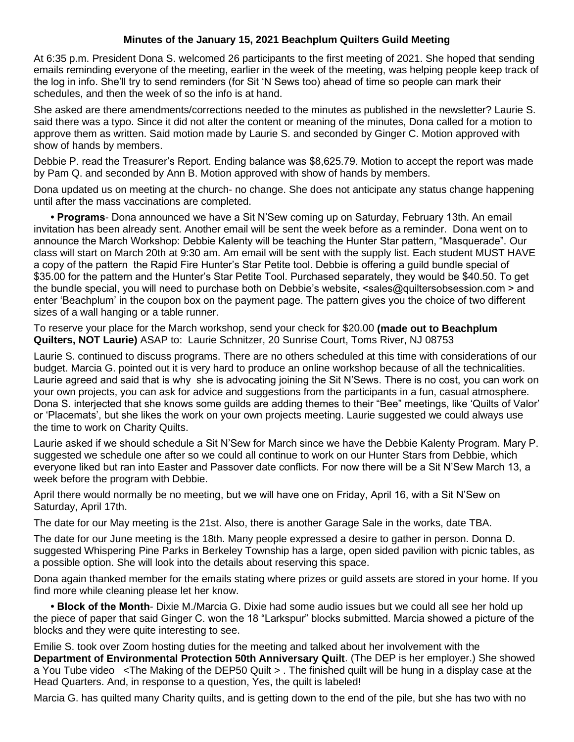## **Minutes of the January 15, 2021 Beachplum Quilters Guild Meeting**

At 6:35 p.m. President Dona S. welcomed 26 participants to the first meeting of 2021. She hoped that sending emails reminding everyone of the meeting, earlier in the week of the meeting, was helping people keep track of the log in info. She'll try to send reminders (for Sit 'N Sews too) ahead of time so people can mark their schedules, and then the week of so the info is at hand.

She asked are there amendments/corrections needed to the minutes as published in the newsletter? Laurie S. said there was a typo. Since it did not alter the content or meaning of the minutes, Dona called for a motion to approve them as written. Said motion made by Laurie S. and seconded by Ginger C. Motion approved with show of hands by members.

Debbie P. read the Treasurer's Report. Ending balance was \$8,625.79. Motion to accept the report was made by Pam Q. and seconded by Ann B. Motion approved with show of hands by members.

Dona updated us on meeting at the church- no change. She does not anticipate any status change happening until after the mass vaccinations are completed.

**• Programs**- Dona announced we have a Sit N'Sew coming up on Saturday, February 13th. An email invitation has been already sent. Another email will be sent the week before as a reminder. Dona went on to announce the March Workshop: Debbie Kalenty will be teaching the Hunter Star pattern, "Masquerade". Our class will start on March 20th at 9:30 am. Am email will be sent with the supply list. Each student MUST HAVE a copy of the pattern the Rapid Fire Hunter's Star Petite tool. Debbie is offering a guild bundle special of \$35.00 for the pattern and the Hunter's Star Petite Tool. Purchased separately, they would be \$40.50. To get the bundle special, you will need to purchase both on Debbie's website, <sales@quiltersobsession.com > and enter 'Beachplum' in the coupon box on the payment page. The pattern gives you the choice of two different sizes of a wall hanging or a table runner.

To reserve your place for the March workshop, send your check for \$20.00 **(made out to Beachplum Quilters, NOT Laurie)** ASAP to: Laurie Schnitzer, 20 Sunrise Court, Toms River, NJ 08753

Laurie S. continued to discuss programs. There are no others scheduled at this time with considerations of our budget. Marcia G. pointed out it is very hard to produce an online workshop because of all the technicalities. Laurie agreed and said that is why she is advocating joining the Sit N'Sews. There is no cost, you can work on your own projects, you can ask for advice and suggestions from the participants in a fun, casual atmosphere. Dona S. interjected that she knows some guilds are adding themes to their "Bee" meetings, like 'Quilts of Valor' or 'Placemats', but she likes the work on your own projects meeting. Laurie suggested we could always use the time to work on Charity Quilts.

Laurie asked if we should schedule a Sit N'Sew for March since we have the Debbie Kalenty Program. Mary P. suggested we schedule one after so we could all continue to work on our Hunter Stars from Debbie, which everyone liked but ran into Easter and Passover date conflicts. For now there will be a Sit N'Sew March 13, a week before the program with Debbie.

April there would normally be no meeting, but we will have one on Friday, April 16, with a Sit N'Sew on Saturday, April 17th.

The date for our May meeting is the 21st. Also, there is another Garage Sale in the works, date TBA.

The date for our June meeting is the 18th. Many people expressed a desire to gather in person. Donna D. suggested Whispering Pine Parks in Berkeley Township has a large, open sided pavilion with picnic tables, as a possible option. She will look into the details about reserving this space.

Dona again thanked member for the emails stating where prizes or guild assets are stored in your home. If you find more while cleaning please let her know.

**• Block of the Month**- Dixie M./Marcia G. Dixie had some audio issues but we could all see her hold up the piece of paper that said Ginger C. won the 18 "Larkspur" blocks submitted. Marcia showed a picture of the blocks and they were quite interesting to see.

Emilie S. took over Zoom hosting duties for the meeting and talked about her involvement with the **Department of Environmental Protection 50th Anniversary Quilt**. (The DEP is her employer.) She showed a You Tube video <The Making of the DEP50 Quilt > . The finished quilt will be hung in a display case at the Head Quarters. And, in response to a question, Yes, the quilt is labeled!

Marcia G. has quilted many Charity quilts, and is getting down to the end of the pile, but she has two with no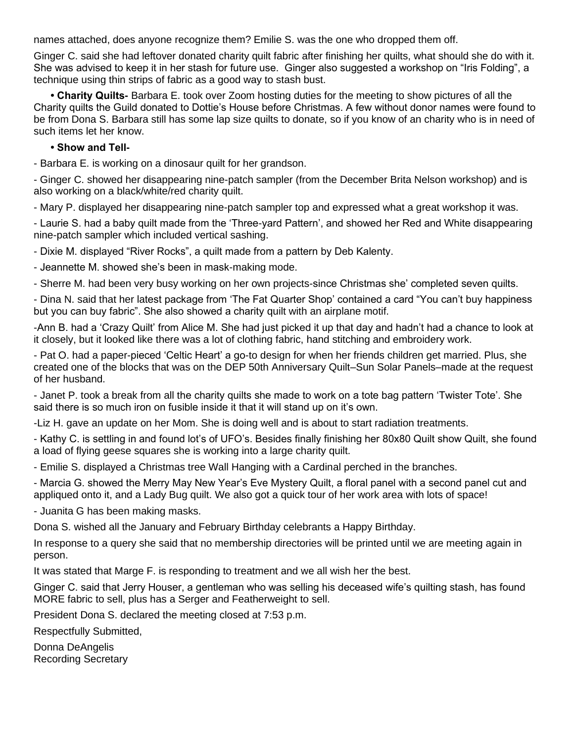names attached, does anyone recognize them? Emilie S. was the one who dropped them off.

Ginger C. said she had leftover donated charity quilt fabric after finishing her quilts, what should she do with it. She was advised to keep it in her stash for future use. Ginger also suggested a workshop on "Iris Folding", a technique using thin strips of fabric as a good way to stash bust.

**• Charity Quilts-** Barbara E. took over Zoom hosting duties for the meeting to show pictures of all the Charity quilts the Guild donated to Dottie's House before Christmas. A few without donor names were found to be from Dona S. Barbara still has some lap size quilts to donate, so if you know of an charity who is in need of such items let her know.

**• Show and Tell-**

- Barbara E. is working on a dinosaur quilt for her grandson.

- Ginger C. showed her disappearing nine-patch sampler (from the December Brita Nelson workshop) and is also working on a black/white/red charity quilt.

- Mary P. displayed her disappearing nine-patch sampler top and expressed what a great workshop it was.

- Laurie S. had a baby quilt made from the 'Three-yard Pattern', and showed her Red and White disappearing nine-patch sampler which included vertical sashing.

- Dixie M. displayed "River Rocks", a quilt made from a pattern by Deb Kalenty.

- Jeannette M. showed she's been in mask-making mode.

- Sherre M. had been very busy working on her own projects-since Christmas she' completed seven quilts.

- Dina N. said that her latest package from 'The Fat Quarter Shop' contained a card "You can't buy happiness but you can buy fabric". She also showed a charity quilt with an airplane motif.

-Ann B. had a 'Crazy Quilt' from Alice M. She had just picked it up that day and hadn't had a chance to look at it closely, but it looked like there was a lot of clothing fabric, hand stitching and embroidery work.

- Pat O. had a paper-pieced 'Celtic Heart' a go-to design for when her friends children get married. Plus, she created one of the blocks that was on the DEP 50th Anniversary Quilt–Sun Solar Panels–made at the request of her husband.

- Janet P. took a break from all the charity quilts she made to work on a tote bag pattern 'Twister Tote'. She said there is so much iron on fusible inside it that it will stand up on it's own.

-Liz H. gave an update on her Mom. She is doing well and is about to start radiation treatments.

- Kathy C. is settling in and found lot's of UFO's. Besides finally finishing her 80x80 Quilt show Quilt, she found a load of flying geese squares she is working into a large charity quilt.

- Emilie S. displayed a Christmas tree Wall Hanging with a Cardinal perched in the branches.

- Marcia G. showed the Merry May New Year's Eve Mystery Quilt, a floral panel with a second panel cut and appliqued onto it, and a Lady Bug quilt. We also got a quick tour of her work area with lots of space!

- Juanita G has been making masks.

Dona S. wished all the January and February Birthday celebrants a Happy Birthday.

In response to a query she said that no membership directories will be printed until we are meeting again in person.

It was stated that Marge F. is responding to treatment and we all wish her the best.

Ginger C. said that Jerry Houser, a gentleman who was selling his deceased wife's quilting stash, has found MORE fabric to sell, plus has a Serger and Featherweight to sell.

President Dona S. declared the meeting closed at 7:53 p.m.

Respectfully Submitted,

Donna DeAngelis Recording Secretary